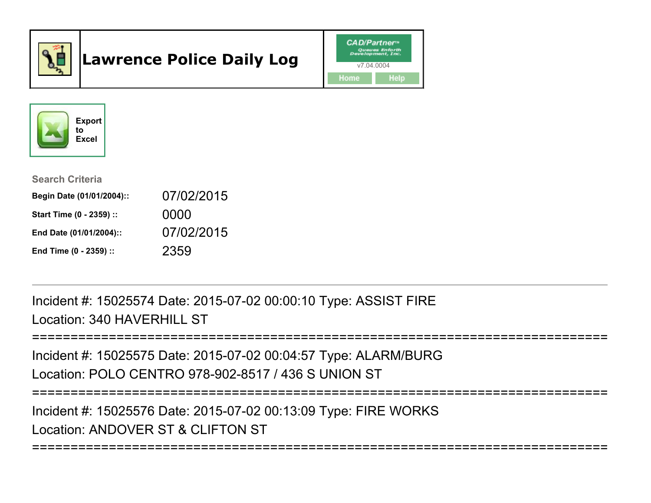

# Lawrence Police Daily Log





Search Criteria

| Begin Date (01/01/2004):: | 07/02/2015 |
|---------------------------|------------|
| Start Time (0 - 2359) ::  | 0000       |
| End Date (01/01/2004)::   | 07/02/2015 |
| End Time (0 - 2359) ::    | 2359       |

Incident #: 15025574 Date: 2015-07-02 00:00:10 Type: ASSIST FIRELocation: 340 HAVERHILL ST

```
===========================================================================
```
===========================================================================

Incident #: 15025575 Date: 2015-07-02 00:04:57 Type: ALARM/BURGLocation: POLO CENTRO 978-902-8517 / 436 S UNION ST

Incident #: 15025576 Date: 2015-07-02 00:13:09 Type: FIRE WORKS

Location: ANDOVER ST & CLIFTON ST

===========================================================================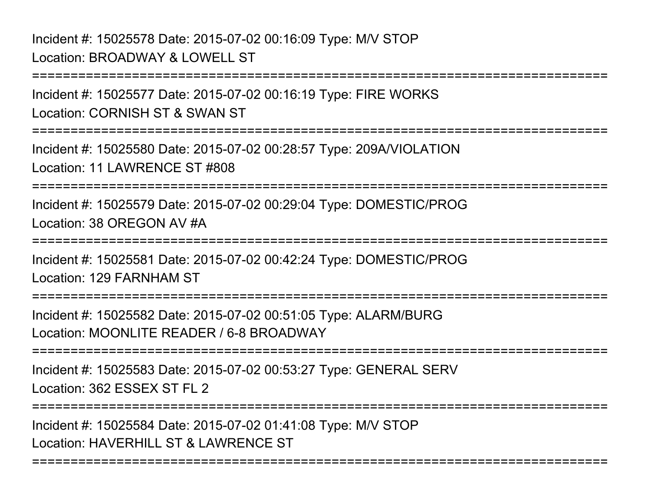# Incident #: 15025578 Date: 2015-07-02 00:16:09 Type: M/V STOPLocation: BROADWAY & LOWELL ST

Incident #: 15025577 Date: 2015-07-02 00:16:19 Type: FIRE WORKSLocation: CORNISH ST & SWAN ST

===========================================================================

===========================================================================

Incident #: 15025580 Date: 2015-07-02 00:28:57 Type: 209A/VIOLATIONLocation: 11 LAWRENCE ST #808

===========================================================================

Incident #: 15025579 Date: 2015-07-02 00:29:04 Type: DOMESTIC/PROGLocation: 38 OREGON AV #A

===========================================================================

Incident #: 15025581 Date: 2015-07-02 00:42:24 Type: DOMESTIC/PROGLocation: 129 FARNHAM ST

===========================================================================

Incident #: 15025582 Date: 2015-07-02 00:51:05 Type: ALARM/BURGLocation: MOONLITE READER / 6-8 BROADWAY

===========================================================================

Incident #: 15025583 Date: 2015-07-02 00:53:27 Type: GENERAL SERVLocation: 362 ESSEX ST FL 2

===========================================================================

===========================================================================

Incident #: 15025584 Date: 2015-07-02 01:41:08 Type: M/V STOPLocation: HAVERHILL ST & LAWRENCE ST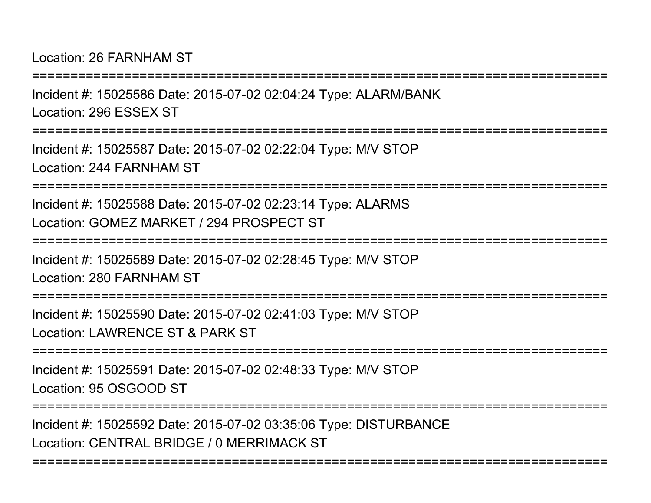Location: 26 FARNHAM ST

Incident #: 15025586 Date: 2015-07-02 02:04:24 Type: ALARM/BANKLocation: 296 ESSEX ST

===========================================================================

===========================================================================

Incident #: 15025587 Date: 2015-07-02 02:22:04 Type: M/V STOPLocation: 244 FARNHAM ST

===========================================================================

Incident #: 15025588 Date: 2015-07-02 02:23:14 Type: ALARMSLocation: GOMEZ MARKET / 294 PROSPECT ST

===========================================================================

Incident #: 15025589 Date: 2015-07-02 02:28:45 Type: M/V STOPLocation: 280 FARNHAM ST

===========================================================================

Incident #: 15025590 Date: 2015-07-02 02:41:03 Type: M/V STOPLocation: LAWRENCE ST & PARK ST

===========================================================================

Incident #: 15025591 Date: 2015-07-02 02:48:33 Type: M/V STOPLocation: 95 OSGOOD ST

===========================================================================

===========================================================================

Incident #: 15025592 Date: 2015-07-02 03:35:06 Type: DISTURBANCELocation: CENTRAL BRIDGE / 0 MERRIMACK ST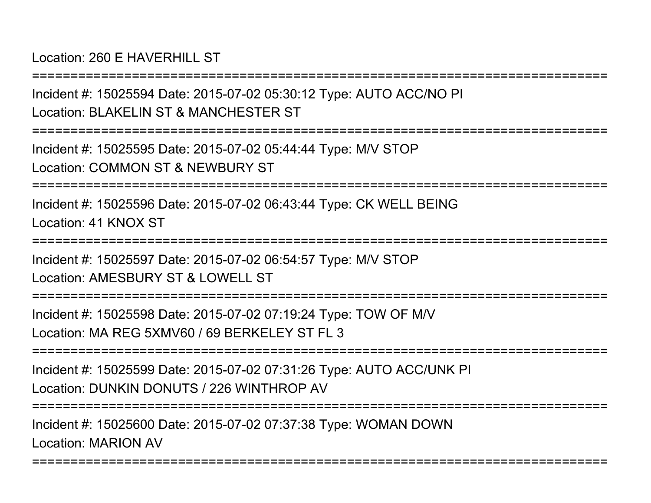Location: 260 F HAVERHILL ST

===========================================================================Incident #: 15025594 Date: 2015-07-02 05:30:12 Type: AUTO ACC/NO PILocation: BLAKELIN ST & MANCHESTER ST===========================================================================Incident #: 15025595 Date: 2015-07-02 05:44:44 Type: M/V STOPLocation: COMMON ST & NEWBURY ST===========================================================================Incident #: 15025596 Date: 2015-07-02 06:43:44 Type: CK WELL BEINGLocation: 41 KNOX ST===========================================================================Incident #: 15025597 Date: 2015-07-02 06:54:57 Type: M/V STOPLocation: AMESBURY ST & LOWELL ST===========================================================================Incident #: 15025598 Date: 2015-07-02 07:19:24 Type: TOW OF M/VLocation: MA REG 5XMV60 / 69 BERKELEY ST FL 3===========================================================================Incident #: 15025599 Date: 2015-07-02 07:31:26 Type: AUTO ACC/UNK PILocation: DUNKIN DONUTS / 226 WINTHROP AV===========================================================================Incident #: 15025600 Date: 2015-07-02 07:37:38 Type: WOMAN DOWNLocation: MARION AV

===========================================================================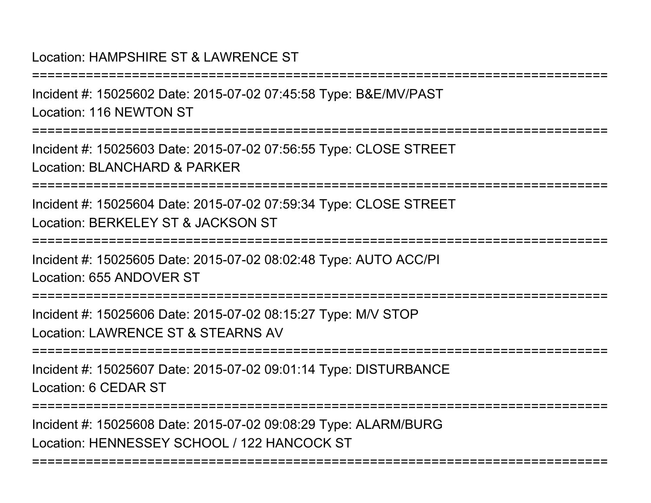# Location: HAMPSHIRE ST & LAWRENCE ST

===========================================================================Incident #: 15025602 Date: 2015-07-02 07:45:58 Type: B&E/MV/PASTLocation: 116 NEWTON ST===========================================================================Incident #: 15025603 Date: 2015-07-02 07:56:55 Type: CLOSE STREETLocation: BLANCHARD & PARKER===========================================================================Incident #: 15025604 Date: 2015-07-02 07:59:34 Type: CLOSE STREETLocation: BERKELEY ST & JACKSON ST===========================================================================Incident #: 15025605 Date: 2015-07-02 08:02:48 Type: AUTO ACC/PILocation: 655 ANDOVER ST===========================================================================Incident #: 15025606 Date: 2015-07-02 08:15:27 Type: M/V STOPLocation: LAWRENCE ST & STEARNS AV===========================================================================Incident #: 15025607 Date: 2015-07-02 09:01:14 Type: DISTURBANCELocation: 6 CEDAR ST===========================================================================

===========================================================================

Incident #: 15025608 Date: 2015-07-02 09:08:29 Type: ALARM/BURGLocation: HENNESSEY SCHOOL / 122 HANCOCK ST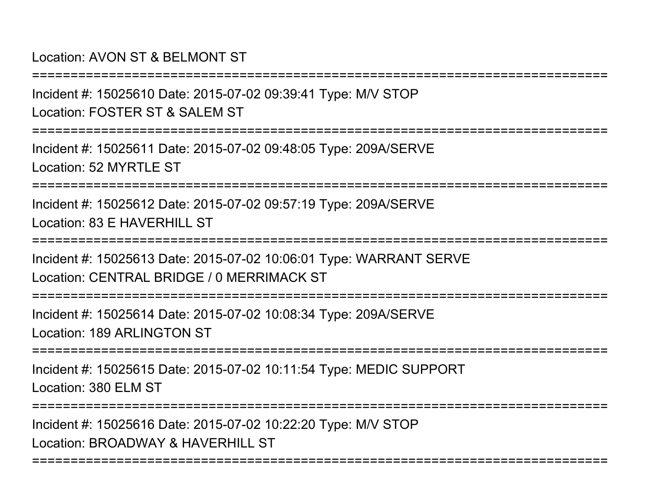Location: AVON ST & BELMONT ST

Incident #: 15025610 Date: 2015-07-02 09:39:41 Type: M/V STOP

Location: FOSTER ST & SALEM ST

===========================================================================

===========================================================================

Incident #: 15025611 Date: 2015-07-02 09:48:05 Type: 209A/SERVELocation: 52 MYRTLE ST

===========================================================================

Incident #: 15025612 Date: 2015-07-02 09:57:19 Type: 209A/SERVELocation: 83 F HAVERHILL ST

===========================================================================

Incident #: 15025613 Date: 2015-07-02 10:06:01 Type: WARRANT SERVELocation: CENTRAL BRIDGE / 0 MERRIMACK ST

===========================================================================

Incident #: 15025614 Date: 2015-07-02 10:08:34 Type: 209A/SERVELocation: 189 ARLINGTON ST

===========================================================================

Incident #: 15025615 Date: 2015-07-02 10:11:54 Type: MEDIC SUPPORTLocation: 380 ELM ST

===========================================================================

Incident #: 15025616 Date: 2015-07-02 10:22:20 Type: M/V STOPLocation: BROADWAY & HAVERHILL ST

===========================================================================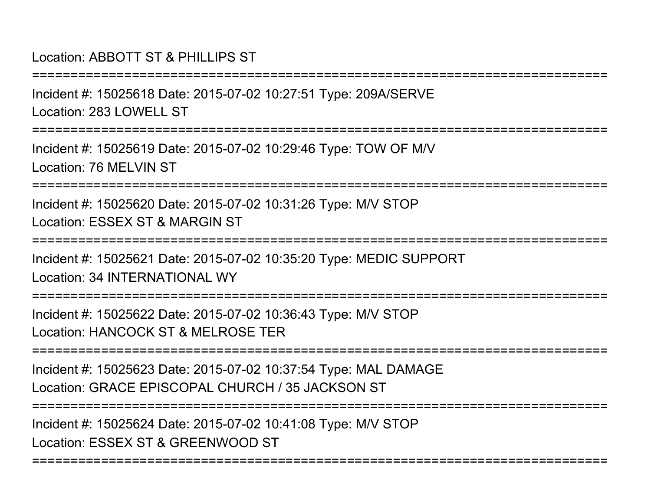## Location: ABBOTT ST & PHILLIPS ST

Incident #: 15025618 Date: 2015-07-02 10:27:51 Type: 209A/SERVELocation: 283 LOWELL ST

===========================================================================

===========================================================================

Incident #: 15025619 Date: 2015-07-02 10:29:46 Type: TOW OF M/VLocation: 76 MFI VIN ST

===========================================================================

Incident #: 15025620 Date: 2015-07-02 10:31:26 Type: M/V STOPLocation: ESSEX ST & MARGIN ST

===========================================================================

Incident #: 15025621 Date: 2015-07-02 10:35:20 Type: MEDIC SUPPORTLocation: 34 INTERNATIONAL WY

===========================================================================

Incident #: 15025622 Date: 2015-07-02 10:36:43 Type: M/V STOPLocation: HANCOCK ST & MELROSE TER

===========================================================================

Incident #: 15025623 Date: 2015-07-02 10:37:54 Type: MAL DAMAGELocation: GRACE EPISCOPAL CHURCH / 35 JACKSON ST

===========================================================================

Incident #: 15025624 Date: 2015-07-02 10:41:08 Type: M/V STOP

Location: ESSEX ST & GREENWOOD ST

===========================================================================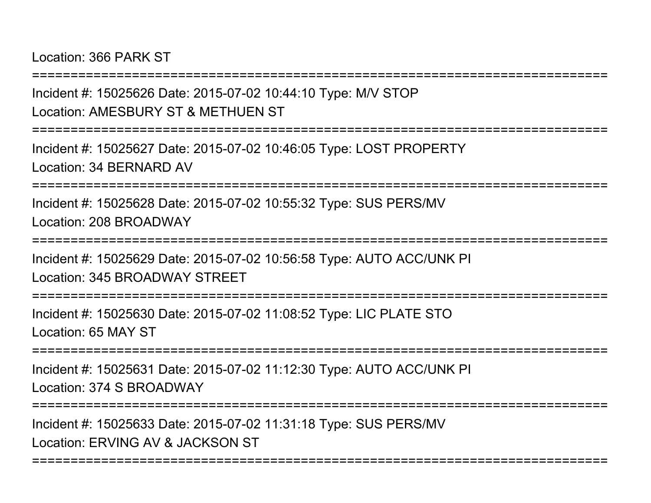Location: 366 PARK ST

===========================================================================Incident #: 15025626 Date: 2015-07-02 10:44:10 Type: M/V STOPLocation: AMESBURY ST & METHUEN ST===========================================================================Incident #: 15025627 Date: 2015-07-02 10:46:05 Type: LOST PROPERTYLocation: 34 BERNARD AV===========================================================================Incident #: 15025628 Date: 2015-07-02 10:55:32 Type: SUS PERS/MVLocation: 208 BROADWAY===========================================================================Incident #: 15025629 Date: 2015-07-02 10:56:58 Type: AUTO ACC/UNK PILocation: 345 BROADWAY STREET===========================================================================Incident #: 15025630 Date: 2015-07-02 11:08:52 Type: LIC PLATE STOLocation: 65 MAY ST===========================================================================Incident #: 15025631 Date: 2015-07-02 11:12:30 Type: AUTO ACC/UNK PILocation: 374 S BROADWAY===========================================================================Incident #: 15025633 Date: 2015-07-02 11:31:18 Type: SUS PERS/MV

===========================================================================

Location: ERVING AV & JACKSON ST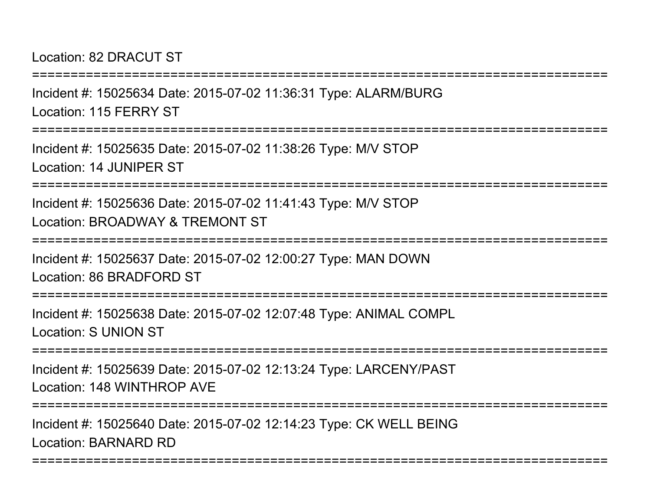#### Location: 82 DRACUT ST

Incident #: 15025634 Date: 2015-07-02 11:36:31 Type: ALARM/BURGLocation: 115 FERRY ST

===========================================================================

===========================================================================

Incident #: 15025635 Date: 2015-07-02 11:38:26 Type: M/V STOPLocation: 14 JUNIPER ST

===========================================================================

Incident #: 15025636 Date: 2015-07-02 11:41:43 Type: M/V STOPLocation: BROADWAY & TREMONT ST

=============

Incident #: 15025637 Date: 2015-07-02 12:00:27 Type: MAN DOWNLocation: 86 BRADFORD ST

===========================================================================

Incident #: 15025638 Date: 2015-07-02 12:07:48 Type: ANIMAL COMPLLocation: S UNION ST

===========================================================================

Incident #: 15025639 Date: 2015-07-02 12:13:24 Type: LARCENY/PASTLocation: 148 WINTHROP AVE

===========================================================================

===========================================================================

Incident #: 15025640 Date: 2015-07-02 12:14:23 Type: CK WELL BEINGLocation: BARNARD RD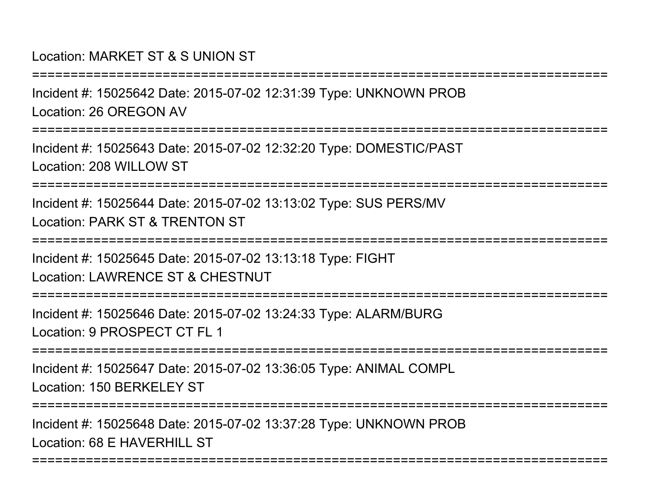# Location: MARKET ST & S UNION ST

Incident #: 15025642 Date: 2015-07-02 12:31:39 Type: UNKNOWN PROBLocation: 26 OREGON AV

===========================================================================

===========================================================================

Incident #: 15025643 Date: 2015-07-02 12:32:20 Type: DOMESTIC/PASTLocation: 208 WILLOW ST

===========================================================================

Incident #: 15025644 Date: 2015-07-02 13:13:02 Type: SUS PERS/MVLocation: PARK ST & TRENTON ST

===========================================================================

Incident #: 15025645 Date: 2015-07-02 13:13:18 Type: FIGHT

Location: LAWRENCE ST & CHESTNUT

===========================================================================

Incident #: 15025646 Date: 2015-07-02 13:24:33 Type: ALARM/BURGLocation: 9 PROSPECT CT FL 1

===========================================================================

Incident #: 15025647 Date: 2015-07-02 13:36:05 Type: ANIMAL COMPLLocation: 150 BERKELEY ST

===========================================================================

===========================================================================

Incident #: 15025648 Date: 2015-07-02 13:37:28 Type: UNKNOWN PROBLocation: 68 F HAVERHILL ST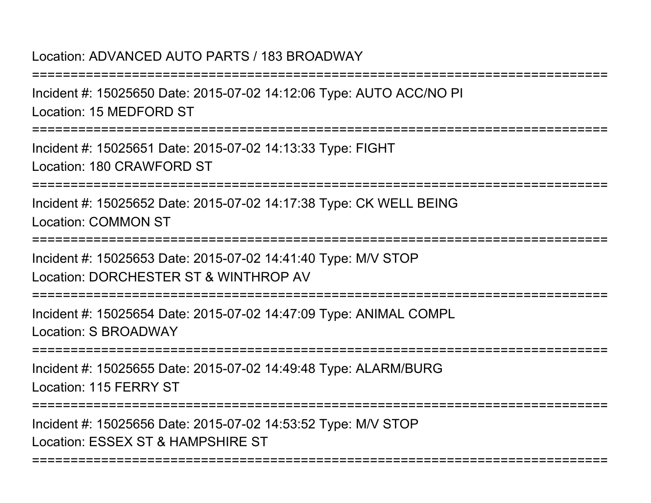### Location: ADVANCED AUTO PARTS / 183 BROADWAY

===========================================================================Incident #: 15025650 Date: 2015-07-02 14:12:06 Type: AUTO ACC/NO PILocation: 15 MEDFORD ST===========================================================================Incident #: 15025651 Date: 2015-07-02 14:13:33 Type: FIGHTLocation: 180 CRAWFORD ST===========================================================================Incident #: 15025652 Date: 2015-07-02 14:17:38 Type: CK WELL BEINGLocation: COMMON ST===========================================================================Incident #: 15025653 Date: 2015-07-02 14:41:40 Type: M/V STOPLocation: DORCHESTER ST & WINTHROP AV===========================================================================Incident #: 15025654 Date: 2015-07-02 14:47:09 Type: ANIMAL COMPL

Location: S BROADWAY

**===============** 

Incident #: 15025655 Date: 2015-07-02 14:49:48 Type: ALARM/BURGLocation: 115 FERRY ST

===========================================================================

===========================================================================

Incident #: 15025656 Date: 2015-07-02 14:53:52 Type: M/V STOPLocation: ESSEX ST & HAMPSHIRE ST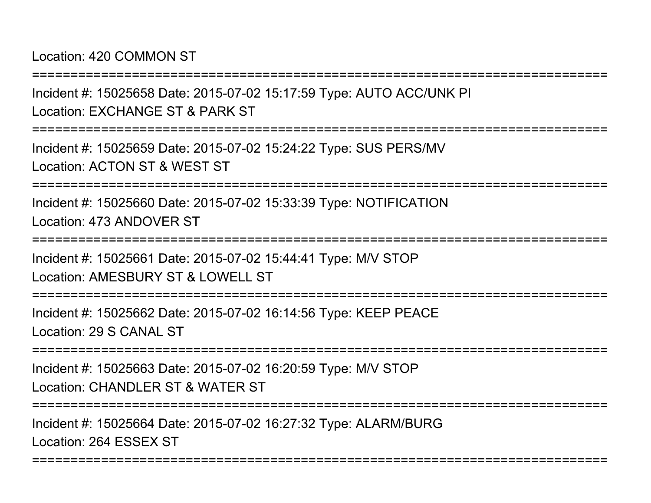Location: 420 COMMON ST

Incident #: 15025658 Date: 2015-07-02 15:17:59 Type: AUTO ACC/UNK PILocation: EXCHANGE ST & PARK ST

===========================================================================

===========================================================================

Incident #: 15025659 Date: 2015-07-02 15:24:22 Type: SUS PERS/MVLocation: ACTON ST & WEST ST

===========================================================================

Incident #: 15025660 Date: 2015-07-02 15:33:39 Type: NOTIFICATIONLocation: 473 ANDOVER ST

===========================================================================

Incident #: 15025661 Date: 2015-07-02 15:44:41 Type: M/V STOPLocation: AMESBURY ST & LOWELL ST

===========================================================================

Incident #: 15025662 Date: 2015-07-02 16:14:56 Type: KEEP PEACELocation: 29 S CANAL ST

===========================================================================

Incident #: 15025663 Date: 2015-07-02 16:20:59 Type: M/V STOPLocation: CHANDLER ST & WATER ST

===========================================================================

===========================================================================

Incident #: 15025664 Date: 2015-07-02 16:27:32 Type: ALARM/BURGLocation: 264 ESSEX ST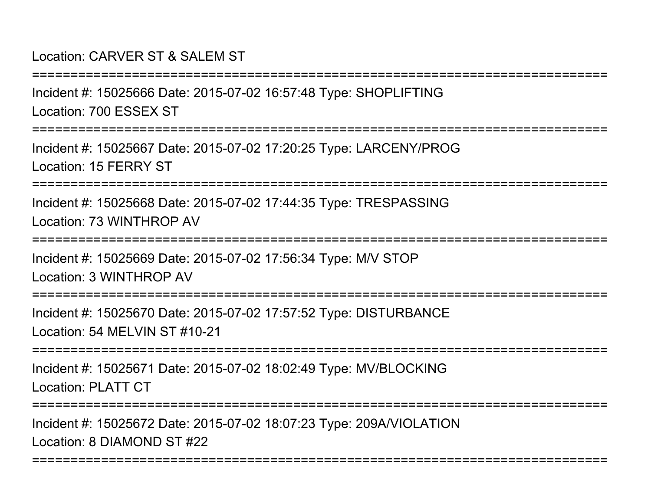## Location: CARVER ST & SALEM ST

Incident #: 15025666 Date: 2015-07-02 16:57:48 Type: SHOPLIFTINGLocation: 700 ESSEX ST

===========================================================================

===========================================================================

Incident #: 15025667 Date: 2015-07-02 17:20:25 Type: LARCENY/PROGLocation: 15 FERRY ST

===========================================================================

Incident #: 15025668 Date: 2015-07-02 17:44:35 Type: TRESPASSINGLocation: 73 WINTHROP AV

===========================================================================

Incident #: 15025669 Date: 2015-07-02 17:56:34 Type: M/V STOPLocation: 3 WINTHROP AV

===========================================================================

Incident #: 15025670 Date: 2015-07-02 17:57:52 Type: DISTURBANCELocation: 54 MELVIN ST #10-21

===========================================================================

Incident #: 15025671 Date: 2015-07-02 18:02:49 Type: MV/BLOCKINGLocation: PLATT CT

===========================================================================

===========================================================================

Incident #: 15025672 Date: 2015-07-02 18:07:23 Type: 209A/VIOLATIONLocation: 8 DIAMOND ST #22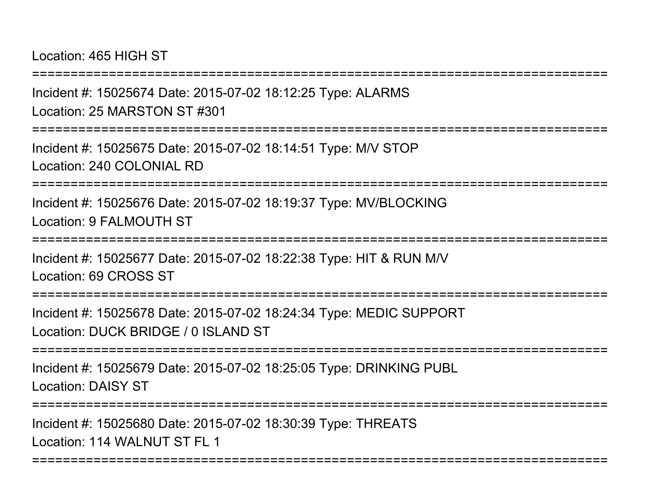Location: 465 HIGH ST

===========================================================================

Incident #: 15025674 Date: 2015-07-02 18:12:25 Type: ALARMSLocation: 25 MARSTON ST #301

===========================================================================

Incident #: 15025675 Date: 2015-07-02 18:14:51 Type: M/V STOPLocation: 240 COLONIAL RD

===========================================================================

Incident #: 15025676 Date: 2015-07-02 18:19:37 Type: MV/BLOCKINGLocation: 9 FALMOUTH ST

===========================================================================

Incident #: 15025677 Date: 2015-07-02 18:22:38 Type: HIT & RUN M/VLocation: 69 CROSS ST

===========================================================================

Incident #: 15025678 Date: 2015-07-02 18:24:34 Type: MEDIC SUPPORTLocation: DUCK BRIDGE / 0 ISLAND ST

===========================================================================

Incident #: 15025679 Date: 2015-07-02 18:25:05 Type: DRINKING PUBLLocation: DAISY ST

===========================================================================

===========================================================================

Incident #: 15025680 Date: 2015-07-02 18:30:39 Type: THREATSLocation: 114 WALNUT ST FL 1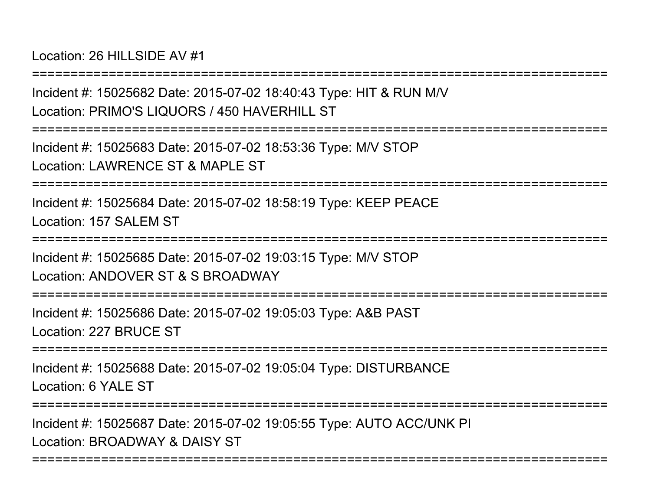Location: 26 HILLSIDE AV #1

===========================================================================Incident #: 15025682 Date: 2015-07-02 18:40:43 Type: HIT & RUN M/VLocation: PRIMO'S LIQUORS / 450 HAVERHILL ST===========================================================================Incident #: 15025683 Date: 2015-07-02 18:53:36 Type: M/V STOPLocation: LAWRENCE ST & MAPLE ST ===========================================================================Incident #: 15025684 Date: 2015-07-02 18:58:19 Type: KEEP PEACELocation: 157 SALEM ST===========================================================================Incident #: 15025685 Date: 2015-07-02 19:03:15 Type: M/V STOPLocation: ANDOVER ST & S BROADWAY===========================================================================Incident #: 15025686 Date: 2015-07-02 19:05:03 Type: A&B PASTLocation: 227 BRUCE ST===========================================================================Incident #: 15025688 Date: 2015-07-02 19:05:04 Type: DISTURBANCELocation: 6 YALE ST===========================================================================

===========================================================================

Incident #: 15025687 Date: 2015-07-02 19:05:55 Type: AUTO ACC/UNK PILocation: BROADWAY & DAISY ST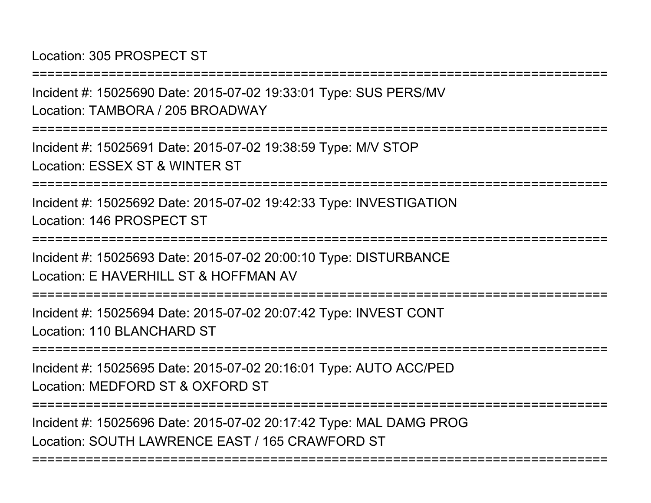Location: 305 PROSPECT ST

===========================================================================

Incident #: 15025690 Date: 2015-07-02 19:33:01 Type: SUS PERS/MVLocation: TAMBORA / 205 BROADWAY

===========================================================================

Incident #: 15025691 Date: 2015-07-02 19:38:59 Type: M/V STOPLocation: ESSEX ST & WINTER ST

===========================================================================

Incident #: 15025692 Date: 2015-07-02 19:42:33 Type: INVESTIGATIONLocation: 146 PROSPECT ST

===========================================================================

Incident #: 15025693 Date: 2015-07-02 20:00:10 Type: DISTURBANCELocation: E HAVERHILL ST & HOFFMAN AV

===========================================================================

Incident #: 15025694 Date: 2015-07-02 20:07:42 Type: INVEST CONTLocation: 110 BLANCHARD ST

===========================================================================

Incident #: 15025695 Date: 2015-07-02 20:16:01 Type: AUTO ACC/PEDLocation: MEDFORD ST & OXFORD ST

===========================================================================

===========================================================================

Incident #: 15025696 Date: 2015-07-02 20:17:42 Type: MAL DAMG PROGLocation: SOUTH LAWRENCE EAST / 165 CRAWFORD ST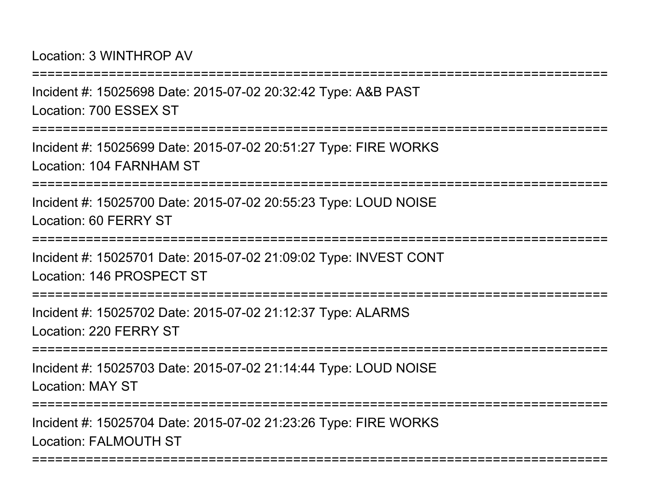Location: 3 WINTHROP AV

===========================================================================Incident #: 15025698 Date: 2015-07-02 20:32:42 Type: A&B PASTLocation: 700 ESSEX ST===========================================================================Incident #: 15025699 Date: 2015-07-02 20:51:27 Type: FIRE WORKSLocation: 104 FARNHAM ST===========================================================================Incident #: 15025700 Date: 2015-07-02 20:55:23 Type: LOUD NOISELocation: 60 FERRY ST===========================================================================Incident #: 15025701 Date: 2015-07-02 21:09:02 Type: INVEST CONTLocation: 146 PROSPECT ST===========================================================================Incident #: 15025702 Date: 2015-07-02 21:12:37 Type: ALARMSLocation: 220 FERRY ST===========================================================================Incident #: 15025703 Date: 2015-07-02 21:14:44 Type: LOUD NOISELocation: MAY ST===========================================================================Incident #: 15025704 Date: 2015-07-02 21:23:26 Type: FIRE WORKS

===========================================================================

Location: FALMOUTH ST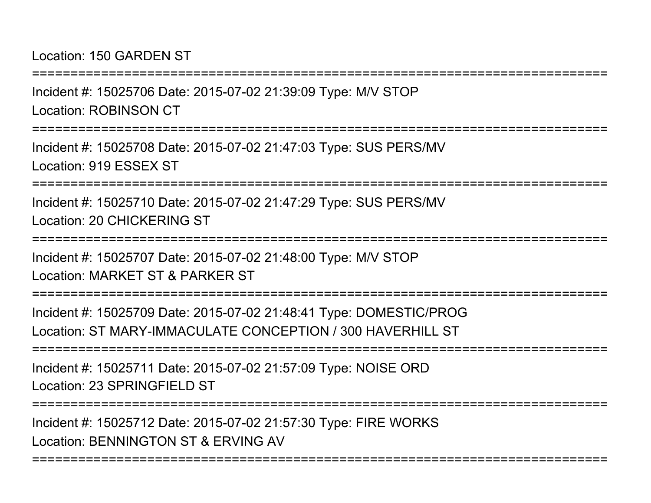## Location: 150 GARDEN ST

Incident #: 15025706 Date: 2015-07-02 21:39:09 Type: M/V STOPLocation: ROBINSON CT

===========================================================================

===========================================================================

Incident #: 15025708 Date: 2015-07-02 21:47:03 Type: SUS PERS/MVLocation: 919 ESSEX ST

===========================================================================

Incident #: 15025710 Date: 2015-07-02 21:47:29 Type: SUS PERS/MVLocation: 20 CHICKERING ST

===========================================================================

Incident #: 15025707 Date: 2015-07-02 21:48:00 Type: M/V STOPLocation: MARKET ST & PARKER ST

===========================================================================

Incident #: 15025709 Date: 2015-07-02 21:48:41 Type: DOMESTIC/PROGLocation: ST MARY-IMMACULATE CONCEPTION / 300 HAVERHILL ST

===========================================================================

Incident #: 15025711 Date: 2015-07-02 21:57:09 Type: NOISE ORDLocation: 23 SPRINGFIELD ST

===========================================================================

===========================================================================

Incident #: 15025712 Date: 2015-07-02 21:57:30 Type: FIRE WORKSLocation: BENNINGTON ST & ERVING AV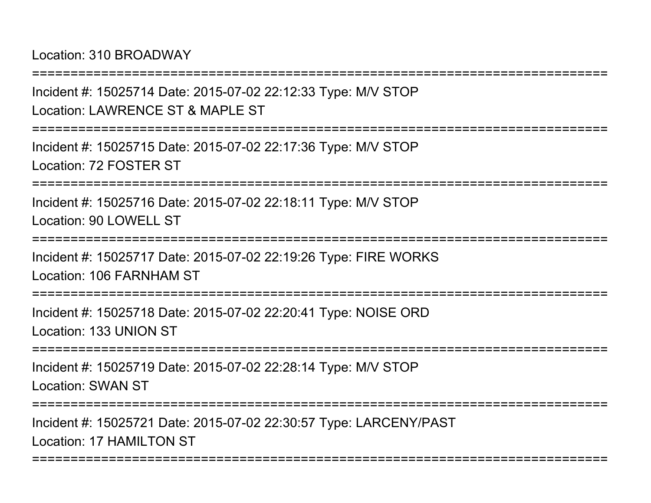Location: 310 BROADWAY

===========================================================================Incident #: 15025714 Date: 2015-07-02 22:12:33 Type: M/V STOPLocation: LAWRENCE ST & MAPLE ST ===========================================================================Incident #: 15025715 Date: 2015-07-02 22:17:36 Type: M/V STOPLocation: 72 FOSTER ST===========================================================================Incident #: 15025716 Date: 2015-07-02 22:18:11 Type: M/V STOPLocation: 90 LOWELL ST ===========================================================================Incident #: 15025717 Date: 2015-07-02 22:19:26 Type: FIRE WORKSLocation: 106 FARNHAM ST================ Incident #: 15025718 Date: 2015-07-02 22:20:41 Type: NOISE ORDLocation: 133 UNION ST===========================================================================Incident #: 15025719 Date: 2015-07-02 22:28:14 Type: M/V STOPLocation: SWAN ST===========================================================================Incident #: 15025721 Date: 2015-07-02 22:30:57 Type: LARCENY/PASTLocation: 17 HAMILTON ST ===========================================================================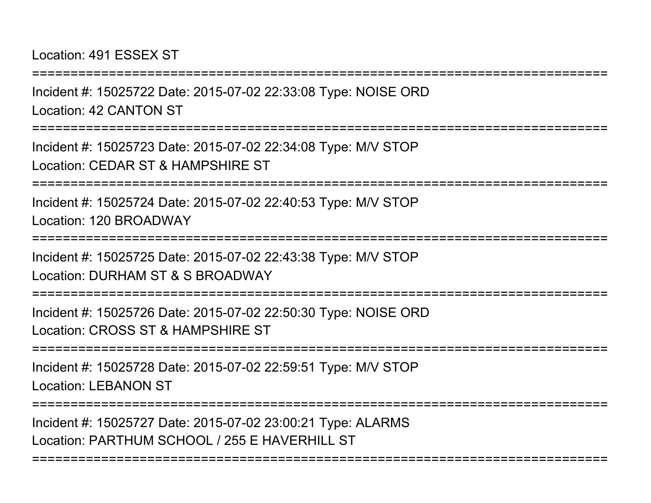#### Location: 491 ESSEX ST

Incident #: 15025722 Date: 2015-07-02 22:33:08 Type: NOISE ORDLocation: 42 CANTON ST

===========================================================================

===========================================================================

Incident #: 15025723 Date: 2015-07-02 22:34:08 Type: M/V STOPLocation: CEDAR ST & HAMPSHIRE ST

===========================================================================

Incident #: 15025724 Date: 2015-07-02 22:40:53 Type: M/V STOPLocation: 120 BROADWAY

===========================================================================

Incident #: 15025725 Date: 2015-07-02 22:43:38 Type: M/V STOP

Location: DURHAM ST & S BROADWAY

===========================================================================

Incident #: 15025726 Date: 2015-07-02 22:50:30 Type: NOISE ORDLocation: CROSS ST & HAMPSHIRE ST

===========================================================================

Incident #: 15025728 Date: 2015-07-02 22:59:51 Type: M/V STOPLocation: LEBANON ST

===========================================================================

===========================================================================

Incident #: 15025727 Date: 2015-07-02 23:00:21 Type: ALARMSLocation: PARTHUM SCHOOL / 255 E HAVERHILL ST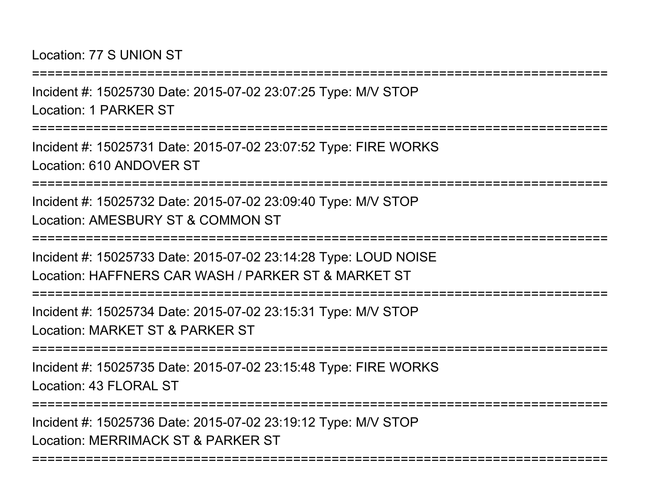#### Location: 77 S UNION ST

Incident #: 15025730 Date: 2015-07-02 23:07:25 Type: M/V STOPLocation: 1 PARKER ST

===========================================================================

===========================================================================

Incident #: 15025731 Date: 2015-07-02 23:07:52 Type: FIRE WORKSLocation: 610 ANDOVER ST

===========================================================================

Incident #: 15025732 Date: 2015-07-02 23:09:40 Type: M/V STOPLocation: AMESBURY ST & COMMON ST

===========================================================================

Incident #: 15025733 Date: 2015-07-02 23:14:28 Type: LOUD NOISELocation: HAFFNERS CAR WASH / PARKER ST & MARKET ST

===========================================================================

Incident #: 15025734 Date: 2015-07-02 23:15:31 Type: M/V STOPLocation: MARKET ST & PARKER ST

===========================================================================

Incident #: 15025735 Date: 2015-07-02 23:15:48 Type: FIRE WORKSLocation: 43 FLORAL ST

===========================================================================

===========================================================================

Incident #: 15025736 Date: 2015-07-02 23:19:12 Type: M/V STOPLocation: MERRIMACK ST & PARKER ST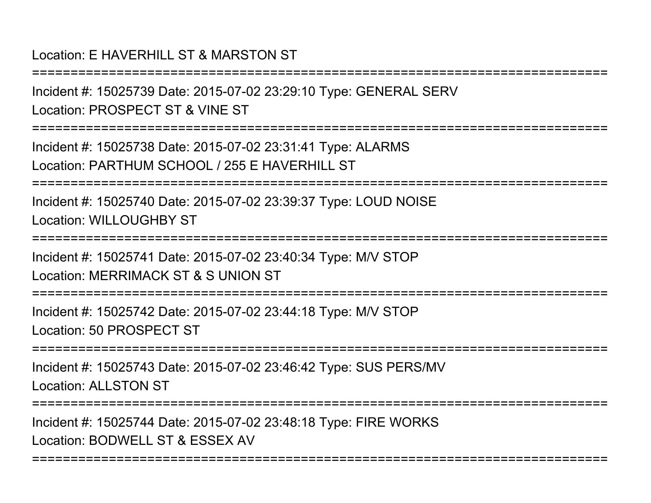# Location: E HAVERHILL ST & MARSTON ST

===========================================================================Incident #: 15025739 Date: 2015-07-02 23:29:10 Type: GENERAL SERVLocation: PROSPECT ST & VINE ST===========================================================================Incident #: 15025738 Date: 2015-07-02 23:31:41 Type: ALARMSLocation: PARTHUM SCHOOL / 255 F HAVERHILL ST ===========================================================================Incident #: 15025740 Date: 2015-07-02 23:39:37 Type: LOUD NOISELocation: WILLOUGHBY ST===========================================================================Incident #: 15025741 Date: 2015-07-02 23:40:34 Type: M/V STOPLocation: MERRIMACK ST & S UNION ST===========================================================================Incident #: 15025742 Date: 2015-07-02 23:44:18 Type: M/V STOPLocation: 50 PROSPECT ST===========================================================================Incident #: 15025743 Date: 2015-07-02 23:46:42 Type: SUS PERS/MVLocation: ALLSTON ST===========================================================================

===========================================================================

Incident #: 15025744 Date: 2015-07-02 23:48:18 Type: FIRE WORKSLocation: BODWELL ST & ESSEX AV